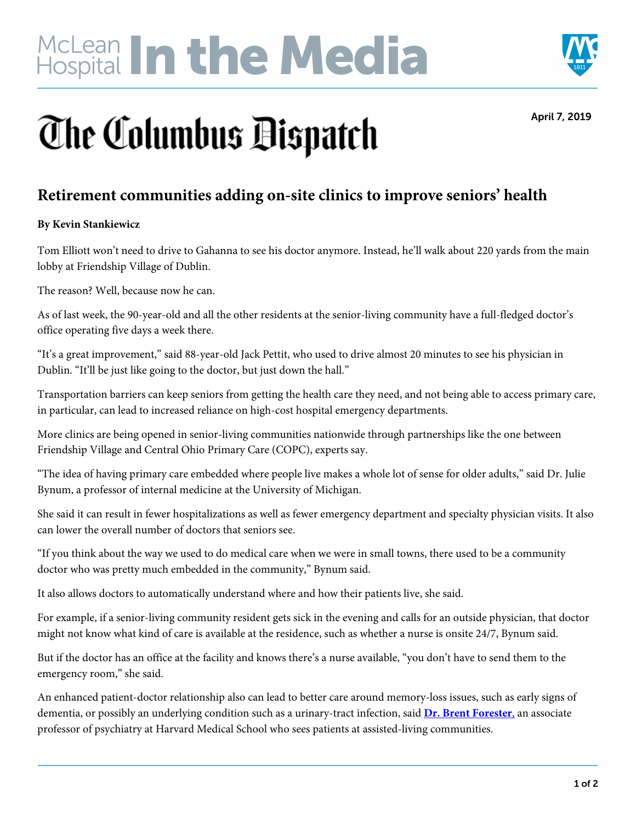# McLean In the Media



April 7, 2019

## **The Columbus Dispatch**

#### **Retirement communities adding on-site clinics to improve seniors' health**

#### **By Kevin Stankiewicz**

Tom Elliott won't need to drive to Gahanna to see his doctor anymore. Instead, he'll walk about 220 yards from the main lobby at Friendship Village of Dublin.

The reason? Well, because now he can.

As of last week, the 90-year-old and all the other residents at the senior-living community have a full-fledged doctor's office operating five days a week there.

"It's a great improvement," said 88-year-old Jack Pettit, who used to drive almost 20 minutes to see his physician in Dublin. "It'll be just like going to the doctor, but just down the hall."

Transportation barriers can keep seniors from getting the health care they need, and not being able to access primary care, in particular, can lead to increased reliance on high-cost hospital emergency departments.

More clinics are being opened in senior-living communities nationwide through partnerships like the one between Friendship Village and Central Ohio Primary Care (COPC), experts say.

"The idea of having primary care embedded where people live makes a whole lot of sense for older adults," said Dr. Julie Bynum, a professor of internal medicine at the University of Michigan.

She said it can result in fewer hospitalizations as well as fewer emergency department and specialty physician visits. It also can lower the overall number of doctors that seniors see.

"If you think about the way we used to do medical care when we were in small towns, there used to be a community doctor who was pretty much embedded in the community," Bynum said.

It also allows doctors to automatically understand where and how their patients live, she said.

For example, if a senior-living community resident gets sick in the evening and calls for an outside physician, that doctor might not know what kind of care is available at the residence, such as whether a nurse is onsite 24/7, Bynum said.

But if the doctor has an office at the facility and knows there's a nurse available, "you don't have to send them to the emergency room," she said.

An enhanced patient-doctor relationship also can lead to better care around memory-loss issues, such as early signs of dementia, or possibly an underlying condition such as a urinary-tract infection, said **Dr. Brent Forester**, an associate professor of psychiatry at Harvard Medical School who sees patients at assisted-living communities.